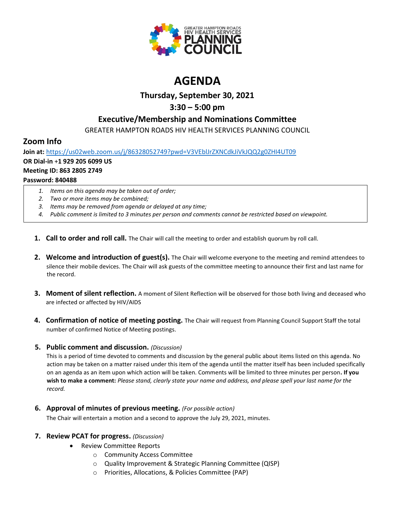

# **AGENDA**

## **Thursday, September 30, 2021**

## **3:30 – 5:00 pm**

## **Executive/Membership and Nominations Committee**

GREATER HAMPTON ROADS HIV HEALTH SERVICES PLANNING COUNCIL

## **Zoom Info**

**Join at:** <https://us02web.zoom.us/j/86328052749?pwd=V3VEblJrZXNCdkJiVkJQQ2g0ZHI4UT09> **OR Dial-in** +**1 929 205 6099 US Meeting ID: 863 2805 2749 Password: 840488**

- *1. Items on this agenda may be taken out of order;*
- *2. Two or more items may be combined;*
- *3. Items may be removed from agenda or delayed at any time;*
- *4. Public comment is limited to 3 minutes per person and comments cannot be restricted based on viewpoint.*
- **1. Call to order and roll call.** The Chair will call the meeting to order and establish quorum by roll call.
- **2. Welcome and introduction of guest(s).** The Chair will welcome everyone to the meeting and remind attendees to silence their mobile devices. The Chair will ask guests of the committee meeting to announce their first and last name for the record.
- **3. Moment of silent reflection.** A moment of Silent Reflection will be observed for those both living and deceased who are infected or affected by HIV/AIDS
- **4. Confirmation of notice of meeting posting.** The Chair will request from Planning Council Support Staff the total number of confirmed Notice of Meeting postings.

### **5. Public comment and discussion.** *(Discussion)*

This is a period of time devoted to comments and discussion by the general public about items listed on this agenda. No action may be taken on a matter raised under this item of the agenda until the matter itself has been included specifically on an agenda as an item upon which action will be taken. Comments will be limited to three minutes per person**. If you wish to make a comment:** *Please stand, clearly state your name and address, and please spell your last name for the record.*

**6. Approval of minutes of previous meeting.** *(For possible action)*

The Chair will entertain a motion and a second to approve the July 29, 2021, minutes.

### **7. Review PCAT for progress.** *(Discussion)*

- Review Committee Reports
	- o Community Access Committee
	- o Quality Improvement & Strategic Planning Committee (QISP)
	- o Priorities, Allocations, & Policies Committee (PAP)